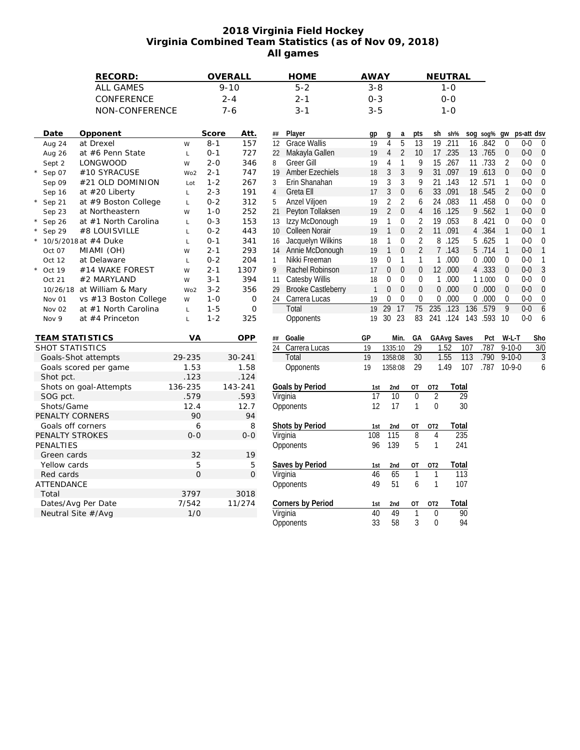## **2018 Virginia Field Hockey Virginia Combined Team Statistics (as of Nov 09, 2018) All games**

| RECORD:                         |                            | OVERALL        | <b>HOME</b>                              | <b>AWAY</b>                               |                                    |                 | NEUTRAL                 |                  |         |                |            |                  |
|---------------------------------|----------------------------|----------------|------------------------------------------|-------------------------------------------|------------------------------------|-----------------|-------------------------|------------------|---------|----------------|------------|------------------|
| <b>ALL GAMES</b>                |                            | $9 - 10$       | $5 - 2$                                  |                                           | $3 - 8$                            |                 | $1 - 0$                 |                  |         |                |            |                  |
| CONFERENCE                      |                            | $2 - 4$        | $2 - 1$                                  |                                           | $0 - 3$                            |                 | $0 - 0$                 |                  |         |                |            |                  |
| NON-CONFERENCE                  |                            | $7 - 6$        | $3 - 1$                                  |                                           | $3 - 5$                            |                 | $1 - 0$                 |                  |         |                |            |                  |
|                                 |                            |                |                                          |                                           |                                    |                 |                         |                  |         |                |            |                  |
|                                 |                            |                |                                          |                                           |                                    |                 |                         |                  |         |                |            |                  |
| Date<br>Opponent                | Score                      | Att.           | Player<br>##                             | gp                                        | a<br>g                             | pts             | sh<br>sh%               | sog sog% gw      |         |                | ps-att dsv |                  |
| at Drexel<br>Aug 24             | $8 - 1$<br>W               | 157            | <b>Grace Wallis</b><br>12                | 19                                        | 5<br>4                             | 13              | $\overline{19}$<br>.211 | 16               | .842    | $\mathbf 0$    | $0-0$      | $\mathbf 0$      |
| at #6 Penn State<br>Aug 26      | $0 - 1$<br>$\mathsf L$     | 727            | Makayla Gallen<br>22                     | 19                                        | $\overline{2}$<br>$\overline{4}$   | 10              | 17 .235                 |                  | 13 .765 | $\theta$       | $0-0$      | $\overline{0}$   |
| Sept 2<br><b>LONGWOOD</b>       | $2 - 0$<br>W               | 346            | Greer Gill<br>8                          | 19                                        | $\mathbf{1}$<br>4                  | 9               | 15<br>.267              |                  | 11 .733 | $\overline{2}$ | $0-0$      | 0                |
| #10 SYRACUSE<br>Sep 07          | $2 - 1$<br>Wo <sub>2</sub> | 747            | <b>Amber Ezechiels</b><br>19             | 18                                        | 3<br>3                             | 9               | 31 .097                 |                  | 19 .613 | $\mathbf{0}$   | $0-0$      | $\mathbf 0$      |
| Sep 09<br>#21 OLD DOMINION      | $1 - 2$<br>Lot             | 267            | Erin Shanahan<br>3                       | 19                                        | 3<br>3                             | 9               | 21 .143                 | 12 .571          |         | $\mathbf{1}$   | $0-0$      | $\mathbf 0$      |
| at $#20$ Liberty<br>Sep 16      | $2 - 3$<br>$\mathsf L$     | 191            | Greta Ell<br>$\overline{4}$              | 17                                        | $\mathfrak{Z}$<br>$\mathbf 0$      | 6               | 33 .091                 |                  | 18 .545 | $\overline{2}$ | $0-0$      | $\theta$         |
| at #9 Boston College<br>Sep 21  | $0 - 2$<br>$\mathsf{L}$    | 312            | Anzel Viljoen<br>5                       | 19                                        | $\overline{2}$<br>$\overline{2}$   | 6               | .083<br>24              |                  | 11 .458 | $\pmb{0}$      | $0-0$      | $\mathbf{0}$     |
| at Northeastern<br>Sep 23       | $1 - 0$<br>W               | 252            | Peyton Tollaksen<br>21                   | 19                                        | $\overline{2}$<br>$\boldsymbol{0}$ | $\sqrt{4}$      | 16 .125                 |                  | 9.562   | $\mathbf{1}$   | $0-0$      | $\mathbf 0$      |
| Sep 26<br>at #1 North Carolina  | $0 - 3$<br>$\mathsf L$     | 153            | Izzy McDonough<br>13                     | 19                                        | 1<br>0                             | $\overline{2}$  | 19 .053                 |                  | 8.421   | $\pmb{0}$      | $0-0$      | $\mathbf{0}$     |
| #8 LOUISVILLE<br>Sep 29         | $0 - 2$<br>$\mathsf L$     | 443            | <b>Colleen Norair</b><br>10 <sup>°</sup> | 19                                        | $\mathbf{1}$<br>0                  | $\overline{2}$  | .091<br>11              |                  | 4.364   | $\mathbf{1}$   | $0-0$      | $\mathbf{1}$     |
| 10/5/2018 at #4 Duke            | $0 - 1$<br>$\mathsf L$     | 341            | Jacquelyn Wilkins<br>16                  | 18                                        | $\mathbf{1}$<br>$\boldsymbol{0}$   | $\overline{2}$  | 8.125                   |                  | 5.625   | $\mathbf{1}$   | $0-0$      | 0                |
| MIAMI (OH)<br>Oct 07            | $2 - 1$<br>W               | 293            | Annie McDonough<br>14                    | 19                                        | $\mathbf{1}$<br>$\overline{0}$     | $\overline{2}$  | 7 .143                  |                  | 5 .714  | $\mathbf{1}$   | $0-0$      | $\overline{1}$   |
| Oct 12<br>at Delaware           | $0 - 2$<br>$\mathsf L$     | 204            | Nikki Freeman<br>$\mathbf{1}$            | 19                                        | 0<br>$\mathbf{1}$                  | 1               | .000<br>$\mathbf{1}$    |                  | 0.000   | $\mathbf 0$    | $0-0$      | $\mathbf{1}$     |
| #14 WAKE FOREST<br>Oct 19       | $2 - 1$<br>W               | 1307           | Rachel Robinson<br>9                     | 17                                        | $\overline{0}$<br>$\mathbf{0}$     | $\mathbf{0}$    | 12 .000                 |                  | 4.333   | $\mathbf{0}$   | $0-0$      | 3                |
| #2 MARYLAND<br>Oct 21           | $3 - 1$<br>W               | 394            | <b>Catesby Willis</b><br>11              | 18                                        | 0<br>$\mathbf{0}$                  | $\mathbf 0$     | .000<br>$\mathbf{1}$    |                  | 1 1.000 | $\mathbf 0$    | $0-0$      | $\mathbf 0$      |
| 10/26/18 at William & Mary      | $3 - 2$<br>Wo <sub>2</sub> | 356            | 29                                       | <b>Brooke Castleberry</b><br>$\mathbf{1}$ | $\mathbf{0}$<br>$\overline{0}$     | $\mathbf{0}$    | 0.000                   |                  | 0.000   | $\theta$       | $0-0$      | $\theta$         |
| vs #13 Boston College<br>Nov 01 | $1 - 0$<br>W               | $\mathsf O$    | Carrera Lucas<br>24                      | 19                                        | 0<br>$\mathbf 0$                   | $\mathbf 0$     | .000<br>$\mathbf 0$     |                  | 0.000   | $\pmb{0}$      | $0-0$      | 0                |
| at #1 North Carolina<br>Nov 02  | $1 - 5$<br>$\mathsf L$     | $\mathbf 0$    | Total                                    | 19                                        | $\overline{29}$<br>17              | 75              | 235 .123                | 136              | .579    | $\overline{9}$ | $0-0$      | 6                |
| at #4 Princeton<br>Nov 9        | $1 - 2$<br>$\mathsf{L}$    | 325            | Opponents                                | 19                                        | 30 23                              | 83              | 241 .124                | 143 .593 10      |         |                | $0-0$      | 6                |
|                                 |                            |                |                                          |                                           |                                    |                 |                         |                  |         |                |            |                  |
| <b>TEAM STATISTICS</b>          | VA                         | OPP            | Goalie<br>##                             | GP                                        | Min.                               | GA              | <b>GAAvg Saves</b>      |                  | Pct     | W-L-T          |            | Sho              |
| SHOT STATISTICS                 |                            |                | Carrera Lucas<br>24                      | 19                                        | 1335:10                            | $\overline{29}$ | 1.52                    | 107              | .787    | $9 - 10 - 0$   |            | $\overline{3/0}$ |
| Goals-Shot attempts             | 29-235                     | 30-241         | Total                                    | $\overline{19}$                           | 1358:08                            | $\overline{30}$ | 1.55                    | 113              | .790    | $9 - 10 - 0$   |            | $\overline{3}$   |
| Goals scored per game           | 1.53                       | 1.58           | Opponents                                | 19                                        | 1358:08                            | 29              | 1.49                    | 107              | .787    | $10-9-0$       |            | 6                |
| Shot pct.                       | .123                       | .124           |                                          |                                           |                                    |                 |                         |                  |         |                |            |                  |
| Shots on goal-Attempts          | 136-235                    | 143-241        | Goals by Period                          | 1st                                       | 2nd                                | OT              | OT <sub>2</sub>         | Total            |         |                |            |                  |
| SOG pct.                        | .579                       | .593           | Virginia                                 | $\overline{17}$                           | $\overline{10}$                    | $\mathbf 0$     | $\overline{2}$          | $\overline{29}$  |         |                |            |                  |
| Shots/Game                      | 12.4                       | 12.7           | Opponents                                | 12                                        | 17                                 | $\mathbf{1}$    | $\mathbf{0}$            | 30               |         |                |            |                  |
| PENALTY CORNERS                 | 90                         | 94             |                                          |                                           |                                    |                 |                         |                  |         |                |            |                  |
| Goals off corners               | 6                          | 8              | Shots by Period                          | 1st                                       | 2nd                                | <b>OT</b>       | OT <sub>2</sub>         | Total            |         |                |            |                  |
| PENALTY STROKES                 | $0 - 0$                    | $0 - 0$        | Virginia                                 | 108                                       | 115                                | $\overline{8}$  | $\overline{4}$          | 235              |         |                |            |                  |
| PENALTIES                       |                            |                | Opponents                                | 96                                        | 139                                | 5               | $\mathbf{1}$            | 241              |         |                |            |                  |
| Green cards                     | 32                         | 19             |                                          |                                           |                                    |                 |                         |                  |         |                |            |                  |
| Yellow cards                    | 5                          | 5              | Saves by Period                          | 1st                                       | 2nd                                | OT              | OT <sub>2</sub>         | Total            |         |                |            |                  |
| Red cards                       | $\overline{O}$             | $\overline{O}$ | Virginia                                 | 46                                        | 65                                 | $\mathbf{1}$    | $\mathbf{1}$            | $\overline{113}$ |         |                |            |                  |
| ATTENDANCE                      |                            |                | Opponents                                | 49                                        | 51                                 | 6               | $\mathbf{1}$            | 107              |         |                |            |                  |
| Total                           | 3797                       | 3018           |                                          |                                           |                                    |                 |                         |                  |         |                |            |                  |
| Dates/Avg Per Date              | 7/542                      | 11/274         | Corners by Period                        |                                           |                                    | <b>OT</b>       | OT <sub>2</sub>         | Total            |         |                |            |                  |
| Neutral Site #/Avg              | 1/0                        |                | Virginia                                 | 1st<br>40                                 | 2nd<br>49                          | $\mathbf{1}$    | $\mathbf 0$             | $\overline{90}$  |         |                |            |                  |
|                                 |                            |                |                                          | 33                                        | 58                                 | 3               | 0                       | 94               |         |                |            |                  |
|                                 |                            |                | Opponents                                |                                           |                                    |                 |                         |                  |         |                |            |                  |